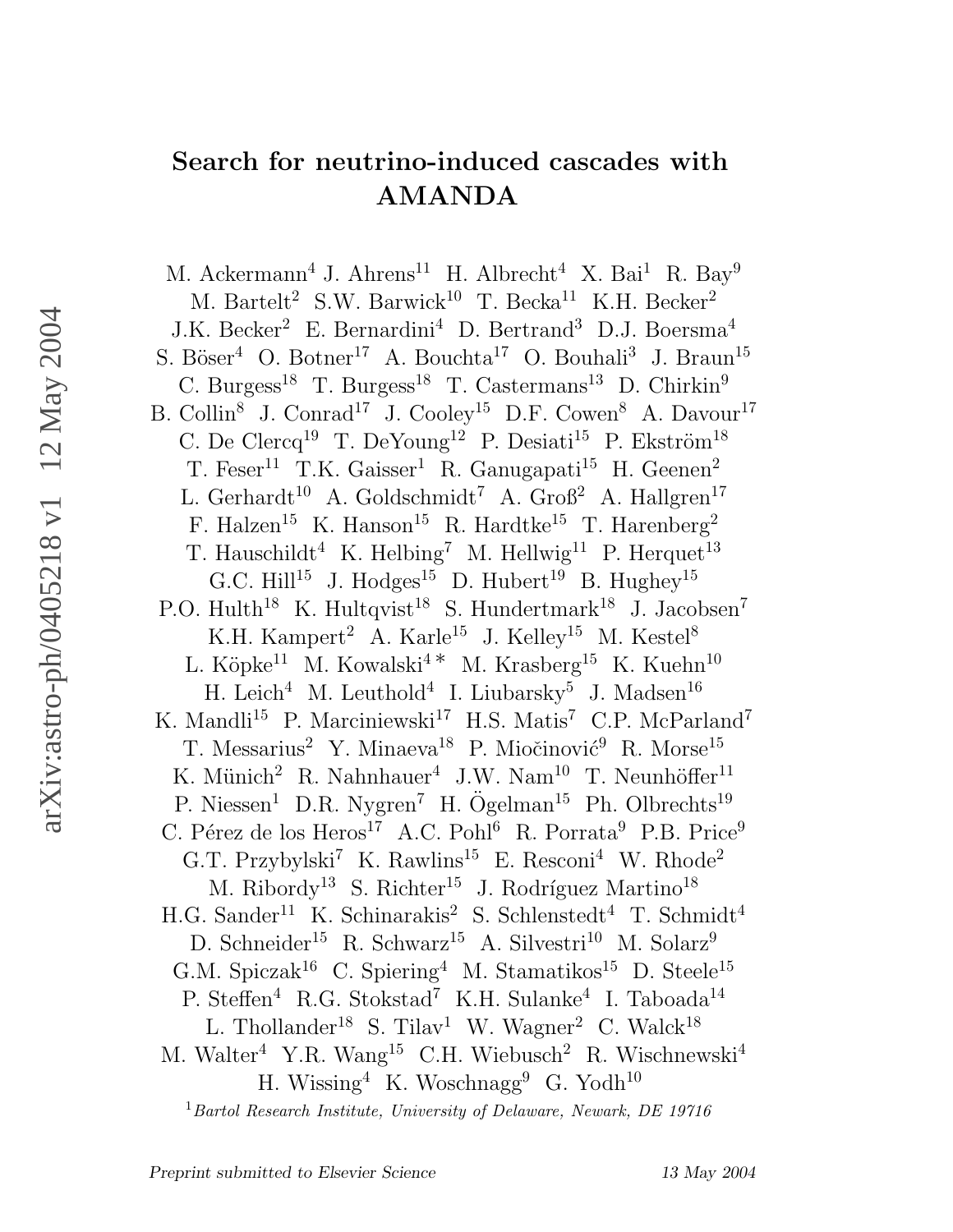# Search for neutrino-induced cascades with AMANDA

M. Ackermann<sup>4</sup> J. Ahrens<sup>11</sup> H. Albrecht<sup>4</sup> X. Bai<sup>1</sup> R. Bay<sup>9</sup> M. Bartelt<sup>2</sup> S.W. Barwick<sup>10</sup> T. Becka<sup>11</sup> K.H. Becker<sup>2</sup> J.K. Becker<sup>2</sup> E. Bernardini<sup>4</sup> D. Bertrand<sup>3</sup> D.J. Boersma<sup>4</sup> S. Böser<sup>4</sup> O. Botner<sup>17</sup> A. Bouchta<sup>17</sup> O. Bouhali<sup>3</sup> J. Braun<sup>15</sup> C. Burgess<sup>18</sup> T. Burgess<sup>18</sup> T. Castermans<sup>13</sup> D. Chirkin<sup>9</sup> B. Collin<sup>8</sup> J. Conrad<sup>17</sup> J. Cooley<sup>15</sup> D.F. Cowen<sup>8</sup> A. Davour<sup>17</sup> C. De Clercq<sup>19</sup> T. DeYoung<sup>12</sup> P. Desiati<sup>15</sup> P. Ekström<sup>18</sup> T. Feser<sup>11</sup> T.K. Gaisser<sup>1</sup> R. Ganugapati<sup>15</sup> H. Geenen<sup>2</sup> L. Gerhardt<sup>10</sup> A. Goldschmidt<sup>7</sup> A. Groß<sup>2</sup> A. Hallgren<sup>17</sup> F. Halzen<sup>15</sup> K. Hanson<sup>15</sup> R. Hardtke<sup>15</sup> T. Harenberg<sup>2</sup> T. Hauschildt<sup>4</sup> K. Helbing<sup>7</sup> M. Hellwig<sup>11</sup> P. Herquet<sup>13</sup> G.C. Hill<sup>15</sup> J. Hodges<sup>15</sup> D. Hubert<sup>19</sup> B. Hughey<sup>15</sup> P.O. Hulth<sup>18</sup> K. Hultqvist<sup>18</sup> S. Hundertmark<sup>18</sup> J. Jacobsen<sup>7</sup> K.H. Kampert<sup>2</sup> A. Karle<sup>15</sup> J. Kelley<sup>15</sup> M. Kestel<sup>8</sup> L. Köpke<sup>11</sup> M. Kowalski<sup>4 \*</sup> M. Krasberg<sup>15</sup> K. Kuehn<sup>10</sup>  $H.$  Leich<sup>4</sup> M. Leuthold<sup>4</sup> I. Liubarsky<sup>5</sup> J. Madsen<sup>16</sup> K. Mandli<sup>15</sup> P. Marciniewski<sup>17</sup> H.S. Matis<sup>7</sup> C.P. McParland<sup>7</sup> T. Messarius<sup>2</sup> Y. Minaeva<sup>18</sup> P. Miočinović<sup>9</sup> R. Morse<sup>15</sup> K. Münich<sup>2</sup> R. Nahnhauer<sup>4</sup> J.W. Nam<sup>10</sup> T. Neunhöffer<sup>11</sup> P. Niessen<sup>1</sup> D.R. Nygren<sup>7</sup> H. Ögelman<sup>15</sup> Ph. Olbrechts<sup>19</sup> C. Pérez de los Heros<sup>17</sup> A.C. Pohl<sup>6</sup> R. Porrata<sup>9</sup> P.B. Price<sup>9</sup> G.T. Przybylski<sup>7</sup> K. Rawlins<sup>15</sup> E. Resconi<sup>4</sup> W. Rhode<sup>2</sup> M. Ribordy<sup>13</sup> S. Richter<sup>15</sup> J. Rodríguez Martino<sup>18</sup> H.G. Sander<sup>11</sup> K. Schinarakis<sup>2</sup> S. Schlenstedt<sup>4</sup> T. Schmidt<sup>4</sup> D. Schneider<sup>15</sup> R. Schwarz<sup>15</sup> A. Silvestri<sup>10</sup> M. Solarz<sup>9</sup> G.M. Spiczak<sup>16</sup> C. Spiering<sup>4</sup> M. Stamatikos<sup>15</sup> D. Steele<sup>15</sup> P. Steffen<sup>4</sup> R.G. Stokstad<sup>7</sup> K.H. Sulanke<sup>4</sup> I. Taboada<sup>14</sup> L. Thollander<sup>18</sup> S. Tilav<sup>1</sup> W. Wagner<sup>2</sup> C. Walck<sup>18</sup> M. Walter<sup>4</sup> Y.R. Wang<sup>15</sup> C.H. Wiebusch<sup>2</sup> R. Wischnewski<sup>4</sup> H. Wissing<sup>4</sup> K. Woschnagg<sup>9</sup> G. Yodh<sup>10</sup>

<sup>1</sup> Bartol Research Institute, University of Delaware, Newark, DE 19716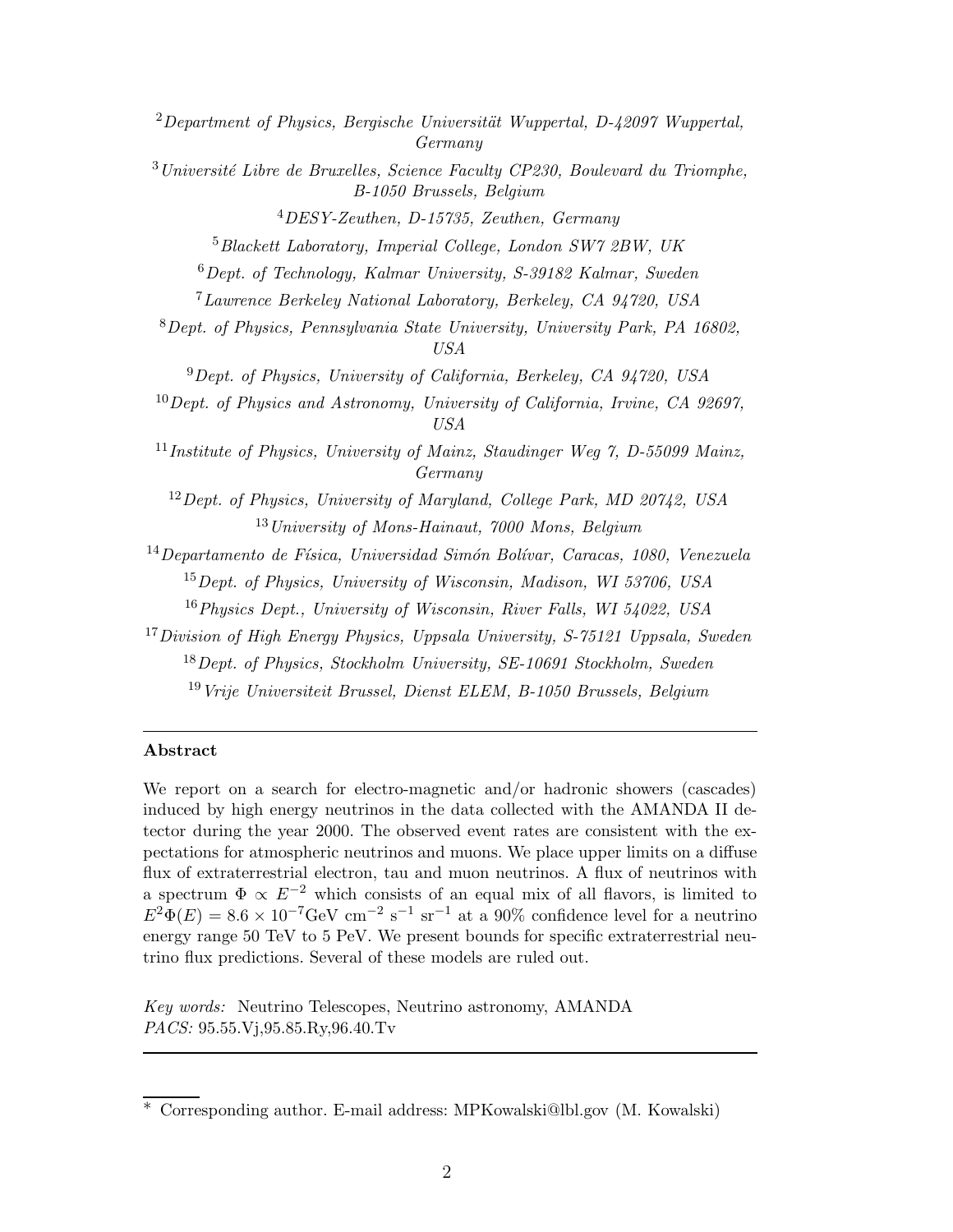Department of Physics, Bergische Universität Wuppertal, D-42097 Wuppertal. Germany Université Libre de Bruxelles, Science Faculty CP230, Boulevard du Triomphe, B-1050 Brussels, Belgium DESY-Zeuthen, D-15735, Zeuthen, Germany Blackett Laboratory, Imperial College, London SW7 2BW, UK Dept. of Technology, Kalmar University, S-39182 Kalmar, Sweden Lawrence Berkeley National Laboratory, Berkeley, CA 94720, USA Dept. of Physics, Pennsylvania State University, University Park, PA 16802, USA Dept. of Physics, University of California, Berkeley, CA 94720, USA Dept. of Physics and Astronomy, University of California, Irvine, CA 92697, USA <sup>11</sup> Institute of Physics, University of Mainz, Staudinger Weg 7, D-55099 Mainz, Germany Dept. of Physics, University of Maryland, College Park, MD 20742, USA University of Mons-Hainaut, 7000 Mons, Belgium Departamento de Física, Universidad Simón Bolívar, Caracas, 1080, Venezuela Dept. of Physics, University of Wisconsin, Madison, WI 53706, USA Physics Dept., University of Wisconsin, River Falls, WI 54022, USA Division of High Energy Physics, Uppsala University, S-75121 Uppsala, Sweden Dept. of Physics, Stockholm University, SE-10691 Stockholm, Sweden Vrije Universiteit Brussel, Dienst ELEM, B-1050 Brussels, Belgium Abstract

We report on a search for electro-magnetic and/or hadronic showers (cascades) induced by high energy neutrinos in the data collected with the AMANDA II detector during the year 2000. The observed event rates are consistent with the expectations for atmospheric neutrinos and muons. We place upper limits on a diffuse flux of extraterrestrial electron, tau and muon neutrinos. A flux of neutrinos with a spectrum  $\Phi \propto E^{-2}$  which consists of an equal mix of all flavors, is limited to  $E^2 \Phi(E) = 8.6 \times 10^{-7} \text{GeV cm}^{-2} \text{ s}^{-1} \text{ sr}^{-1}$  at a 90% confidence level for a neutrino energy range 50 TeV to 5 PeV. We present bounds for specific extraterrestrial neutrino flux predictions. Several of these models are ruled out.

Key words: Neutrino Telescopes, Neutrino astronomy, AMANDA PACS: 95.55.Vj,95.85.Ry,96.40.Tv

<sup>∗</sup> Corresponding author. E-mail address: MPKowalski@lbl.gov (M. Kowalski)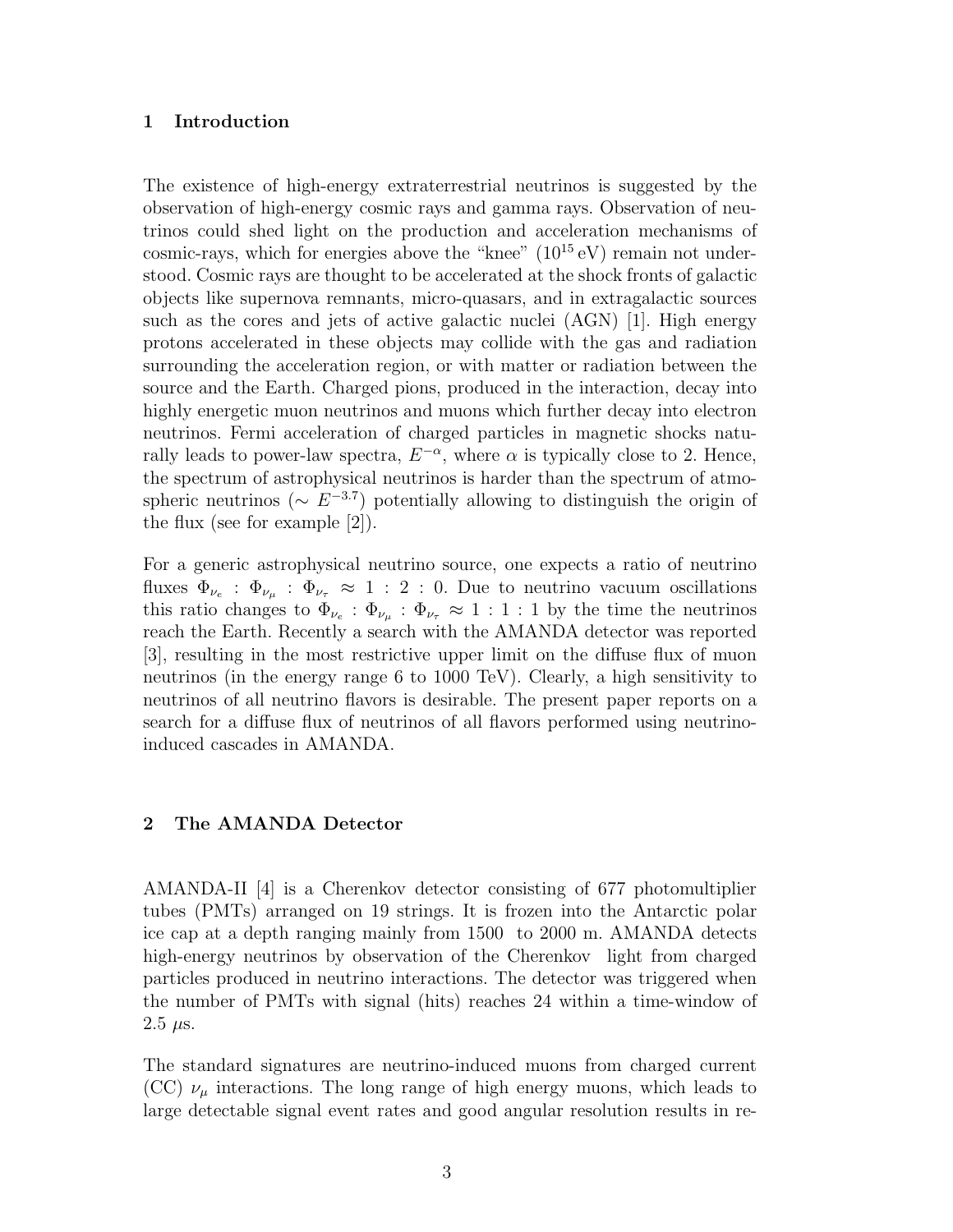#### 1 Introduction

The existence of high-energy extraterrestrial neutrinos is suggested by the observation of high-energy cosmic rays and gamma rays. Observation of neutrinos could shed light on the production and acceleration mechanisms of cosmic-rays, which for energies above the "knee"  $(10^{15} \text{ eV})$  remain not understood. Cosmic rays are thought to be accelerated at the shock fronts of galactic objects like supernova remnants, micro-quasars, and in extragalactic sources such as the cores and jets of active galactic nuclei (AGN) [1]. High energy protons accelerated in these objects may collide with the gas and radiation surrounding the acceleration region, or with matter or radiation between the source and the Earth. Charged pions, produced in the interaction, decay into highly energetic muon neutrinos and muons which further decay into electron neutrinos. Fermi acceleration of charged particles in magnetic shocks naturally leads to power-law spectra,  $E^{-\alpha}$ , where  $\alpha$  is typically close to 2. Hence, the spectrum of astrophysical neutrinos is harder than the spectrum of atmospheric neutrinos ( $\sim E^{-3.7}$ ) potentially allowing to distinguish the origin of the flux (see for example [2]).

For a generic astrophysical neutrino source, one expects a ratio of neutrino fluxes  $\Phi_{\nu_e}$ :  $\Phi_{\nu_\mu}$ :  $\Phi_{\nu_\tau} \approx 1$ : 2: 0. Due to neutrino vacuum oscillations this ratio changes to  $\Phi_{\nu_e}$ :  $\Phi_{\nu_\mu}$ :  $\Phi_{\nu_\tau} \approx 1:1:1$  by the time the neutrinos reach the Earth. Recently a search with the AMANDA detector was reported [3], resulting in the most restrictive upper limit on the diffuse flux of muon neutrinos (in the energy range 6 to 1000 TeV). Clearly, a high sensitivity to neutrinos of all neutrino flavors is desirable. The present paper reports on a search for a diffuse flux of neutrinos of all flavors performed using neutrinoinduced cascades in AMANDA.

#### 2 The AMANDA Detector

AMANDA-II [4] is a Cherenkov detector consisting of 677 photomultiplier tubes (PMTs) arranged on 19 strings. It is frozen into the Antarctic polar ice cap at a depth ranging mainly from 1500 to 2000 m. AMANDA detects high-energy neutrinos by observation of the Cherenkov light from charged particles produced in neutrino interactions. The detector was triggered when the number of PMTs with signal (hits) reaches 24 within a time-window of  $2.5 \mu s$ .

The standard signatures are neutrino-induced muons from charged current (CC)  $\nu_{\mu}$  interactions. The long range of high energy muons, which leads to large detectable signal event rates and good angular resolution results in re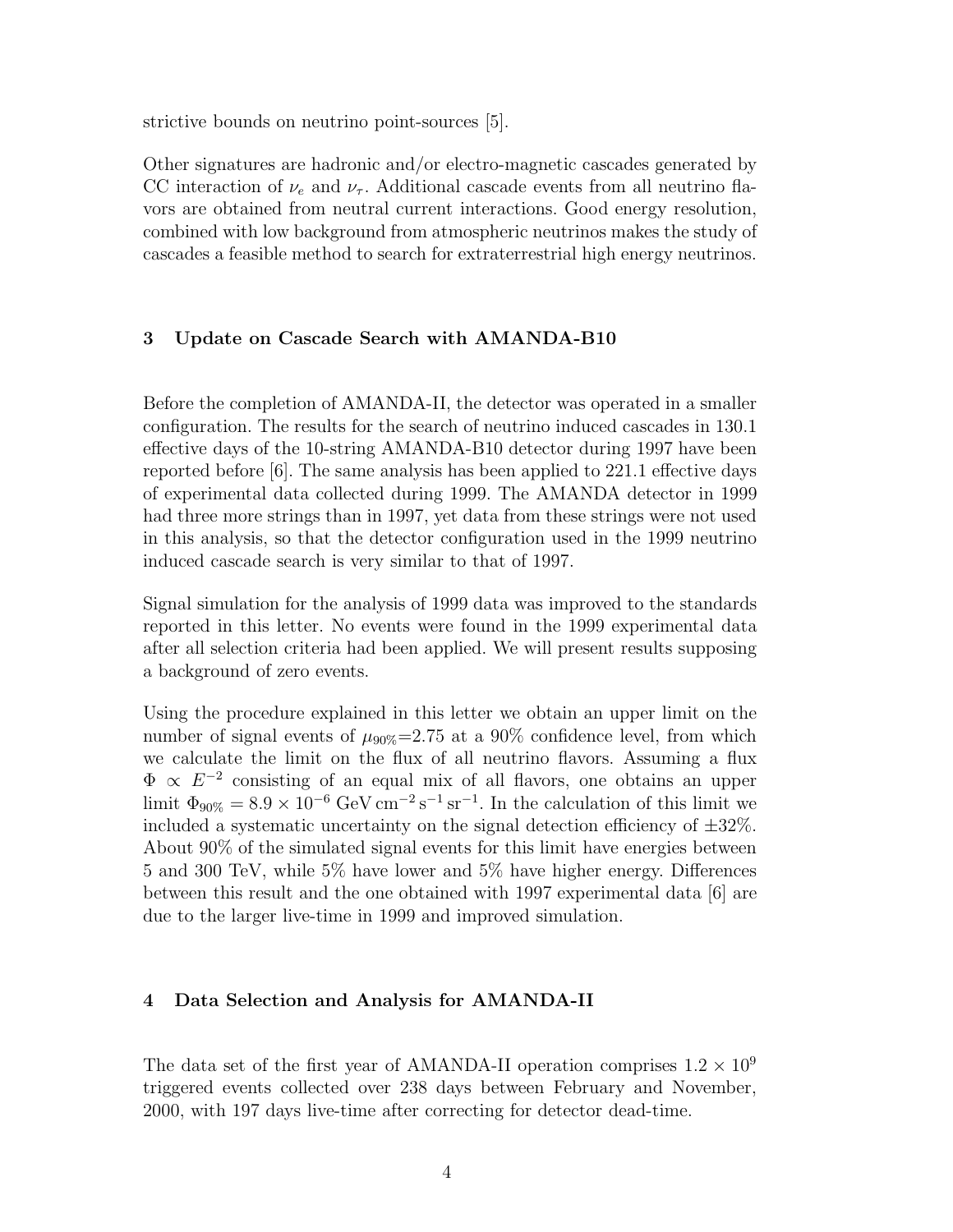strictive bounds on neutrino point-sources [5].

Other signatures are hadronic and/or electro-magnetic cascades generated by CC interaction of  $\nu_e$  and  $\nu_{\tau}$ . Additional cascade events from all neutrino flavors are obtained from neutral current interactions. Good energy resolution, combined with low background from atmospheric neutrinos makes the study of cascades a feasible method to search for extraterrestrial high energy neutrinos.

### 3 Update on Cascade Search with AMANDA-B10

Before the completion of AMANDA-II, the detector was operated in a smaller configuration. The results for the search of neutrino induced cascades in 130.1 effective days of the 10-string AMANDA-B10 detector during 1997 have been reported before [6]. The same analysis has been applied to 221.1 effective days of experimental data collected during 1999. The AMANDA detector in 1999 had three more strings than in 1997, yet data from these strings were not used in this analysis, so that the detector configuration used in the 1999 neutrino induced cascade search is very similar to that of 1997.

Signal simulation for the analysis of 1999 data was improved to the standards reported in this letter. No events were found in the 1999 experimental data after all selection criteria had been applied. We will present results supposing a background of zero events.

Using the procedure explained in this letter we obtain an upper limit on the number of signal events of  $\mu_{90\%}=2.75$  at a 90% confidence level, from which we calculate the limit on the flux of all neutrino flavors. Assuming a flux  $\Phi \propto E^{-2}$  consisting of an equal mix of all flavors, one obtains an upper limit  $\Phi_{90\%} = 8.9 \times 10^{-6} \text{ GeV cm}^{-2} \text{s}^{-1} \text{ sr}^{-1}$ . In the calculation of this limit we included a systematic uncertainty on the signal detection efficiency of  $\pm 32\%$ . About 90% of the simulated signal events for this limit have energies between 5 and 300 TeV, while 5% have lower and 5% have higher energy. Differences between this result and the one obtained with 1997 experimental data [6] are due to the larger live-time in 1999 and improved simulation.

#### 4 Data Selection and Analysis for AMANDA-II

The data set of the first year of AMANDA-II operation comprises  $1.2 \times 10^9$ triggered events collected over 238 days between February and November, 2000, with 197 days live-time after correcting for detector dead-time.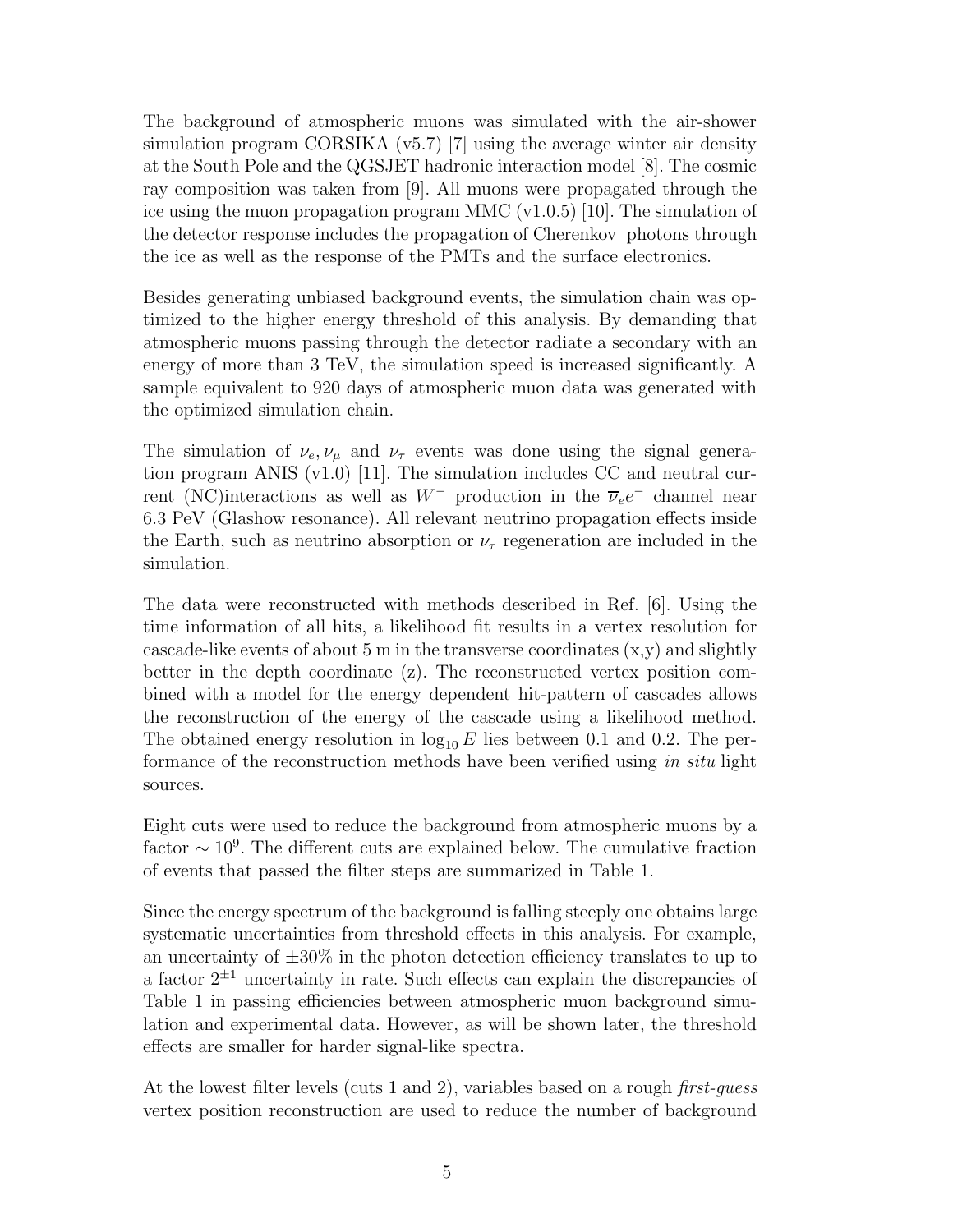The background of atmospheric muons was simulated with the air-shower simulation program CORSIKA (v5.7) [7] using the average winter air density at the South Pole and the QGSJET hadronic interaction model [8]. The cosmic ray composition was taken from [9]. All muons were propagated through the ice using the muon propagation program MMC (v1.0.5) [10]. The simulation of the detector response includes the propagation of Cherenkov photons through the ice as well as the response of the PMTs and the surface electronics.

Besides generating unbiased background events, the simulation chain was optimized to the higher energy threshold of this analysis. By demanding that atmospheric muons passing through the detector radiate a secondary with an energy of more than 3 TeV, the simulation speed is increased significantly. A sample equivalent to 920 days of atmospheric muon data was generated with the optimized simulation chain.

The simulation of  $\nu_e, \nu_\mu$  and  $\nu_\tau$  events was done using the signal generation program ANIS (v1.0) [11]. The simulation includes CC and neutral current (NC)interactions as well as  $W^-$  production in the  $\overline{\nu}_e e^-$  channel near 6.3 PeV (Glashow resonance). All relevant neutrino propagation effects inside the Earth, such as neutrino absorption or  $\nu_{\tau}$  regeneration are included in the simulation.

The data were reconstructed with methods described in Ref. [6]. Using the time information of all hits, a likelihood fit results in a vertex resolution for cascade-like events of about 5 m in the transverse coordinates  $(x, y)$  and slightly better in the depth coordinate (z). The reconstructed vertex position combined with a model for the energy dependent hit-pattern of cascades allows the reconstruction of the energy of the cascade using a likelihood method. The obtained energy resolution in  $log_{10} E$  lies between 0.1 and 0.2. The performance of the reconstruction methods have been verified using in situ light sources.

Eight cuts were used to reduce the background from atmospheric muons by a factor  $\sim 10^9$ . The different cuts are explained below. The cumulative fraction of events that passed the filter steps are summarized in Table 1.

Since the energy spectrum of the background is falling steeply one obtains large systematic uncertainties from threshold effects in this analysis. For example, an uncertainty of  $\pm 30\%$  in the photon detection efficiency translates to up to a factor  $2^{\pm 1}$  uncertainty in rate. Such effects can explain the discrepancies of Table 1 in passing efficiencies between atmospheric muon background simulation and experimental data. However, as will be shown later, the threshold effects are smaller for harder signal-like spectra.

At the lowest filter levels (cuts 1 and 2), variables based on a rough first-guess vertex position reconstruction are used to reduce the number of background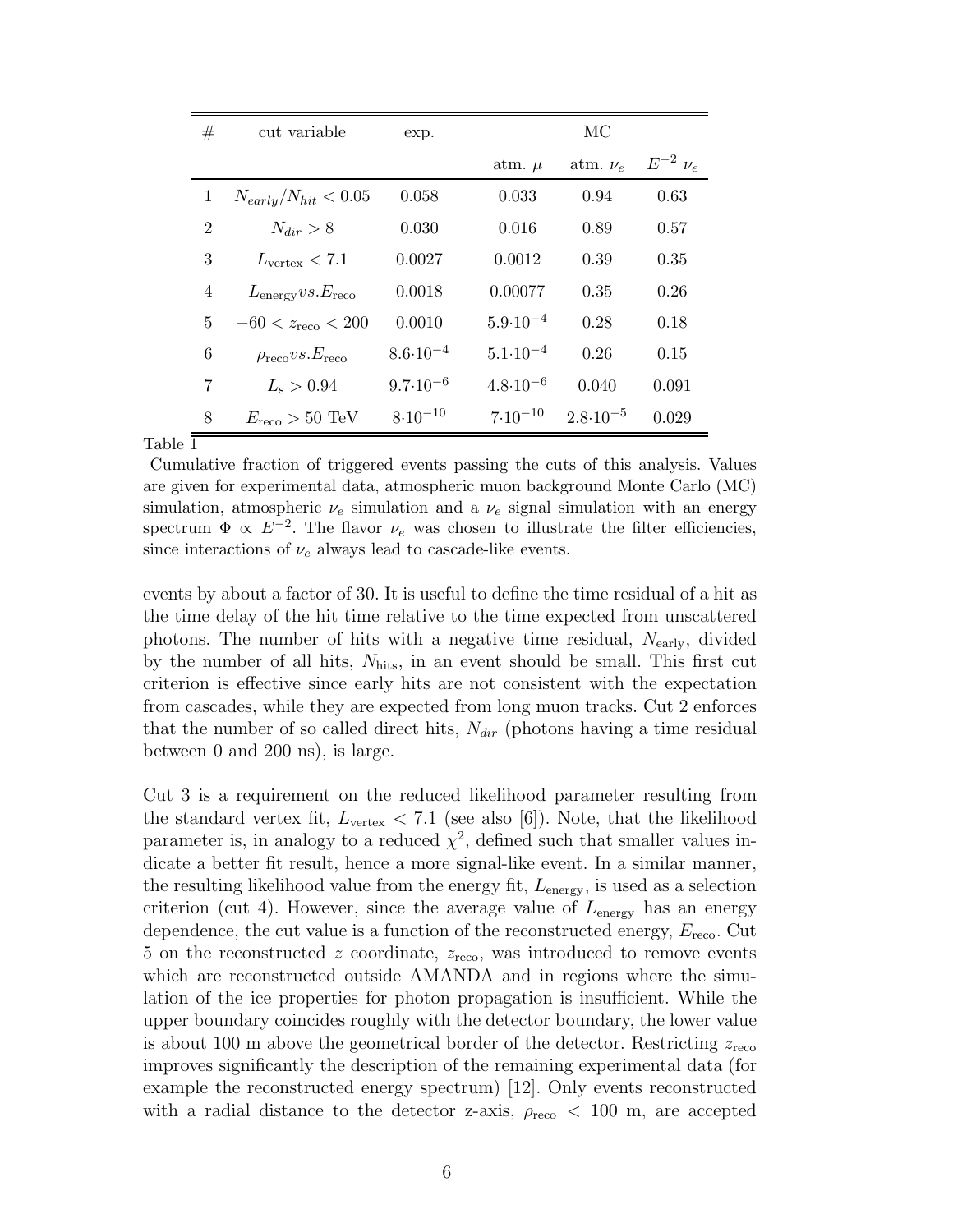| #              | cut variable                             | exp.                |                     | МC                  |                  |  |  |  |
|----------------|------------------------------------------|---------------------|---------------------|---------------------|------------------|--|--|--|
|                |                                          |                     | atm. $\mu$          | atm. $\nu_e$        | $E^{-2}$ $\nu_e$ |  |  |  |
| $\mathbf{1}$   | $N_{early}/N_{hit} < 0.05$               | 0.058               | 0.033               | 0.94                | 0.63             |  |  |  |
| $\overline{2}$ | $N_{dir} > 8$                            | 0.030               | 0.016               | 0.89                | 0.57             |  |  |  |
| 3              | $L_{\text{vertex}} < 7.1$                | 0.0027              | 0.0012              | 0.39                | 0.35             |  |  |  |
| 4              | $L_{\text{energy}} vs. E_{\text{reco}}$  | 0.0018              | 0.00077             | 0.35                | 0.26             |  |  |  |
| 5              | $-60 < z_{\text{reco}} < 200$            | 0.0010              | $5.9 \cdot 10^{-4}$ | 0.28                | 0.18             |  |  |  |
| 6              | $\rho_{\text{reco}} vs. E_{\text{reco}}$ | $8.6 \cdot 10^{-4}$ | $5.1 \cdot 10^{-4}$ | 0.26                | 0.15             |  |  |  |
| 7              | $L_{\rm s} > 0.94$                       | $9.7 \cdot 10^{-6}$ | $4.8 \cdot 10^{-6}$ | 0.040               | 0.091            |  |  |  |
| 8              | $E_{\text{reco}} > 50 \text{ TeV}$       | $8.10^{-10}$        | $7.10^{-10}$        | $2.8 \cdot 10^{-5}$ | 0.029            |  |  |  |

Table 1

Cumulative fraction of triggered events passing the cuts of this analysis. Values are given for experimental data, atmospheric muon background Monte Carlo (MC) simulation, atmospheric  $\nu_e$  simulation and a  $\nu_e$  signal simulation with an energy spectrum  $\Phi \propto E^{-2}$ . The flavor  $\nu_e$  was chosen to illustrate the filter efficiencies, since interactions of  $\nu_e$  always lead to cascade-like events.

events by about a factor of 30. It is useful to define the time residual of a hit as the time delay of the hit time relative to the time expected from unscattered photons. The number of hits with a negative time residual,  $N_{\text{early}}$ , divided by the number of all hits,  $N_{\text{hits}}$ , in an event should be small. This first cut criterion is effective since early hits are not consistent with the expectation from cascades, while they are expected from long muon tracks. Cut 2 enforces that the number of so called direct hits,  $N_{dir}$  (photons having a time residual between 0 and 200 ns), is large.

Cut 3 is a requirement on the reduced likelihood parameter resulting from the standard vertex fit,  $L_{\text{vertex}} < 7.1$  (see also [6]). Note, that the likelihood parameter is, in analogy to a reduced  $\chi^2$ , defined such that smaller values indicate a better fit result, hence a more signal-like event. In a similar manner, the resulting likelihood value from the energy fit,  $L_{\text{energy}}$ , is used as a selection criterion (cut 4). However, since the average value of  $L_{\text{energy}}$  has an energy dependence, the cut value is a function of the reconstructed energy,  $E_{\text{reco}}$ . Cut 5 on the reconstructed z coordinate,  $z_{\text{reco}}$ , was introduced to remove events which are reconstructed outside AMANDA and in regions where the simulation of the ice properties for photon propagation is insufficient. While the upper boundary coincides roughly with the detector boundary, the lower value is about 100 m above the geometrical border of the detector. Restricting  $z_{\text{reco}}$ improves significantly the description of the remaining experimental data (for example the reconstructed energy spectrum) [12]. Only events reconstructed with a radial distance to the detector z-axis,  $\rho_{\text{reco}} < 100$  m, are accepted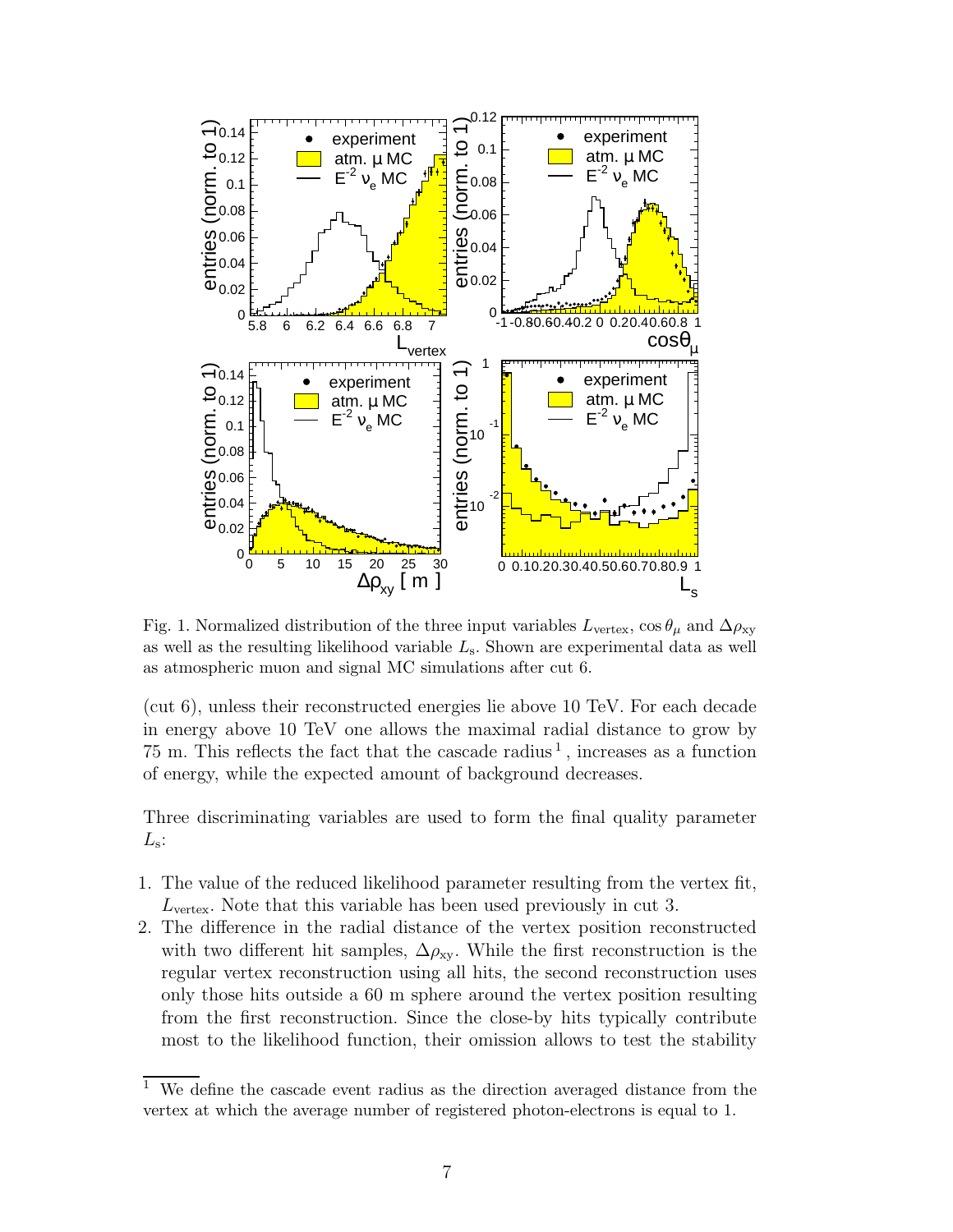

Fig. 1. Normalized distribution of the three input variables  $L_{\text{vertex}}$ , cos  $\theta_{\mu}$  and  $\Delta \rho_{\text{xy}}$ as well as the resulting likelihood variable  $L<sub>s</sub>$ . Shown are experimental data as well as atmospheric muon and signal MC simulations after cut 6.

(cut 6), unless their reconstructed energies lie above 10 TeV. For each decade in energy above 10 TeV one allows the maximal radial distance to grow by 75 m. This reflects the fact that the cascade radius<sup>1</sup>, increases as a function of energy, while the expected amount of background decreases.

Three discriminating variables are used to form the final quality parameter  $L_{\rm s}$ :

- 1. The value of the reduced likelihood parameter resulting from the vertex fit,  $L_{\text{vertex}}$ . Note that this variable has been used previously in cut 3.
- 2. The difference in the radial distance of the vertex position reconstructed with two different hit samples,  $\Delta \rho_{xy}$ . While the first reconstruction is the regular vertex reconstruction using all hits, the second reconstruction uses only those hits outside a 60 m sphere around the vertex position resulting from the first reconstruction. Since the close-by hits typically contribute most to the likelihood function, their omission allows to test the stability

 $1$  We define the cascade event radius as the direction averaged distance from the vertex at which the average number of registered photon-electrons is equal to 1.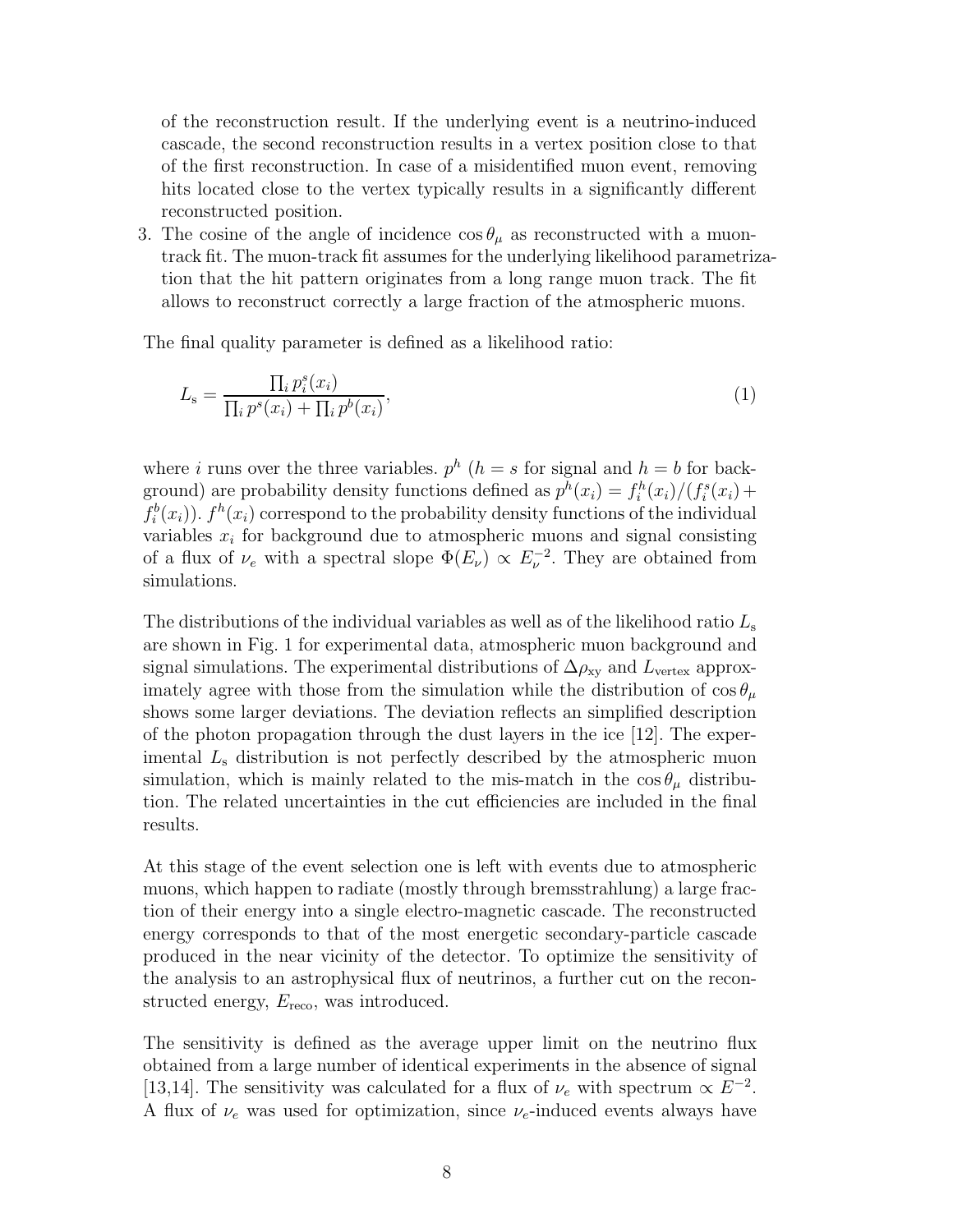of the reconstruction result. If the underlying event is a neutrino-induced cascade, the second reconstruction results in a vertex position close to that of the first reconstruction. In case of a misidentified muon event, removing hits located close to the vertex typically results in a significantly different reconstructed position.

3. The cosine of the angle of incidence  $\cos \theta_{\mu}$  as reconstructed with a muontrack fit. The muon-track fit assumes for the underlying likelihood parametrization that the hit pattern originates from a long range muon track. The fit allows to reconstruct correctly a large fraction of the atmospheric muons.

The final quality parameter is defined as a likelihood ratio:

$$
L_{\rm s} = \frac{\prod_i p_i^s(x_i)}{\prod_i p^s(x_i) + \prod_i p^b(x_i)},\tag{1}
$$

where i runs over the three variables.  $p^h$  ( $h = s$  for signal and  $h = b$  for background) are probability density functions defined as  $p^h(x_i) = f_i^h(x_i)/(f_i^s(x_i) +$  $f_i^b(x_i)$ ).  $f^h(x_i)$  correspond to the probability density functions of the individual variables  $x_i$  for background due to atmospheric muons and signal consisting of a flux of  $\nu_e$  with a spectral slope  $\Phi(E_\nu) \propto E_\nu^{-2}$ . They are obtained from simulations.

The distributions of the individual variables as well as of the likelihood ratio  $L_s$ are shown in Fig. 1 for experimental data, atmospheric muon background and signal simulations. The experimental distributions of  $\Delta \rho_{\rm xv}$  and  $L_{\rm vertex}$  approximately agree with those from the simulation while the distribution of  $\cos \theta_{\mu}$ shows some larger deviations. The deviation reflects an simplified description of the photon propagation through the dust layers in the ice [12]. The experimental  $L<sub>s</sub>$  distribution is not perfectly described by the atmospheric muon simulation, which is mainly related to the mis-match in the  $\cos \theta_{\mu}$  distribution. The related uncertainties in the cut efficiencies are included in the final results.

At this stage of the event selection one is left with events due to atmospheric muons, which happen to radiate (mostly through bremsstrahlung) a large fraction of their energy into a single electro-magnetic cascade. The reconstructed energy corresponds to that of the most energetic secondary-particle cascade produced in the near vicinity of the detector. To optimize the sensitivity of the analysis to an astrophysical flux of neutrinos, a further cut on the reconstructed energy,  $E_{\text{reco}}$ , was introduced.

The sensitivity is defined as the average upper limit on the neutrino flux obtained from a large number of identical experiments in the absence of signal [13,14]. The sensitivity was calculated for a flux of  $\nu_e$  with spectrum  $\propto E^{-2}$ . A flux of  $\nu_e$  was used for optimization, since  $\nu_e$ -induced events always have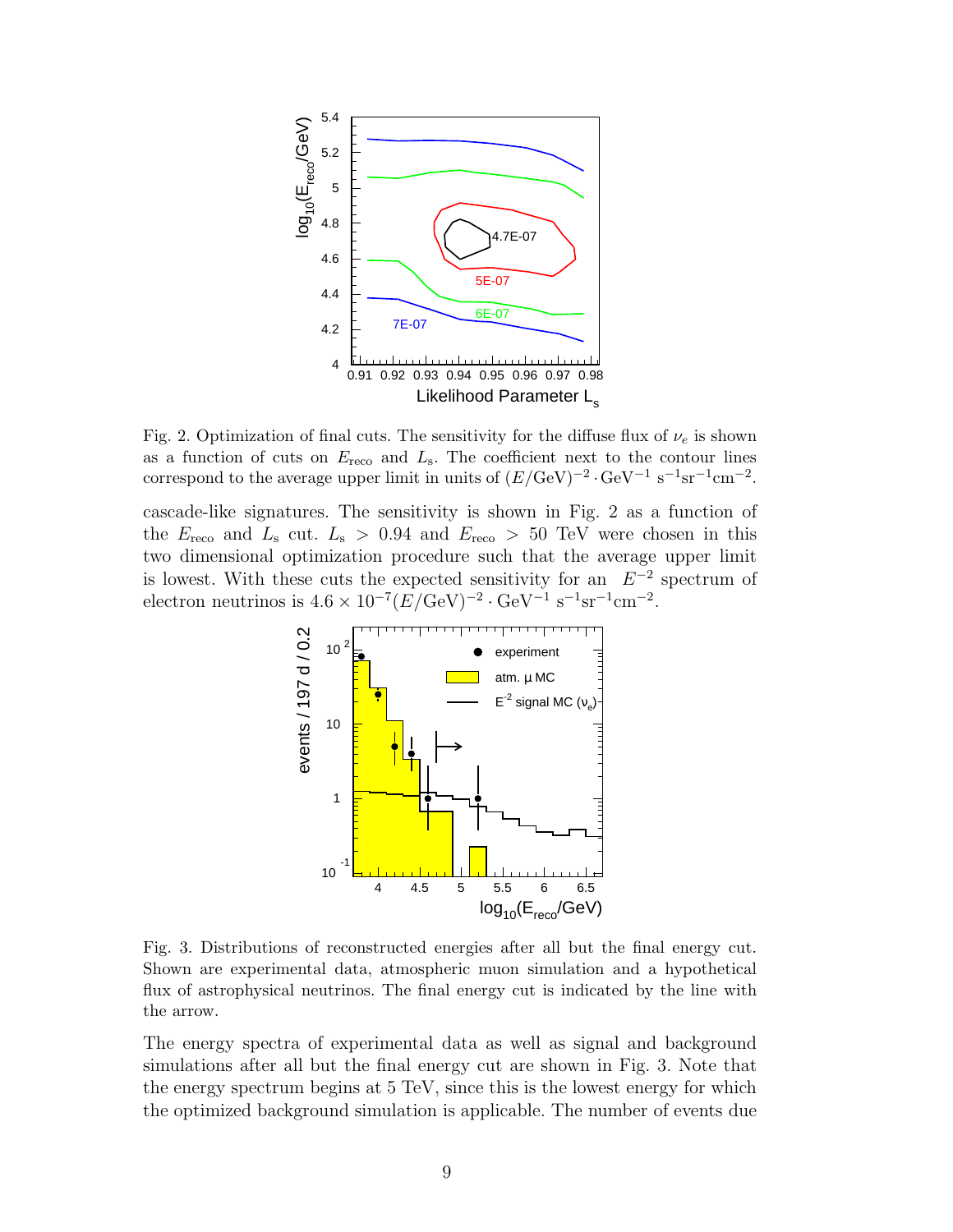

Fig. 2. Optimization of final cuts. The sensitivity for the diffuse flux of  $\nu_e$  is shown as a function of cuts on  $E_{\text{reco}}$  and  $L_{\text{s}}$ . The coefficient next to the contour lines correspond to the average upper limit in units of  $(E/\text{GeV})^{-2} \cdot \text{GeV}^{-1} \text{ s}^{-1} \text{sr}^{-1} \text{cm}^{-2}$ .

cascade-like signatures. The sensitivity is shown in Fig. 2 as a function of the  $E_{\text{reco}}$  and  $L_{\text{s}}$  cut.  $L_{\text{s}} > 0.94$  and  $E_{\text{reco}} > 50$  TeV were chosen in this two dimensional optimization procedure such that the average upper limit is lowest. With these cuts the expected sensitivity for an  $E^{-2}$  spectrum of electron neutrinos is  $4.6 \times 10^{-7} (E/\text{GeV})^{-2} \cdot \text{GeV}^{-1} \text{ s}^{-1} \text{sr}^{-1} \text{cm}^{-2}$ .



Fig. 3. Distributions of reconstructed energies after all but the final energy cut. Shown are experimental data, atmospheric muon simulation and a hypothetical flux of astrophysical neutrinos. The final energy cut is indicated by the line with the arrow.

The energy spectra of experimental data as well as signal and background simulations after all but the final energy cut are shown in Fig. 3. Note that the energy spectrum begins at 5 TeV, since this is the lowest energy for which the optimized background simulation is applicable. The number of events due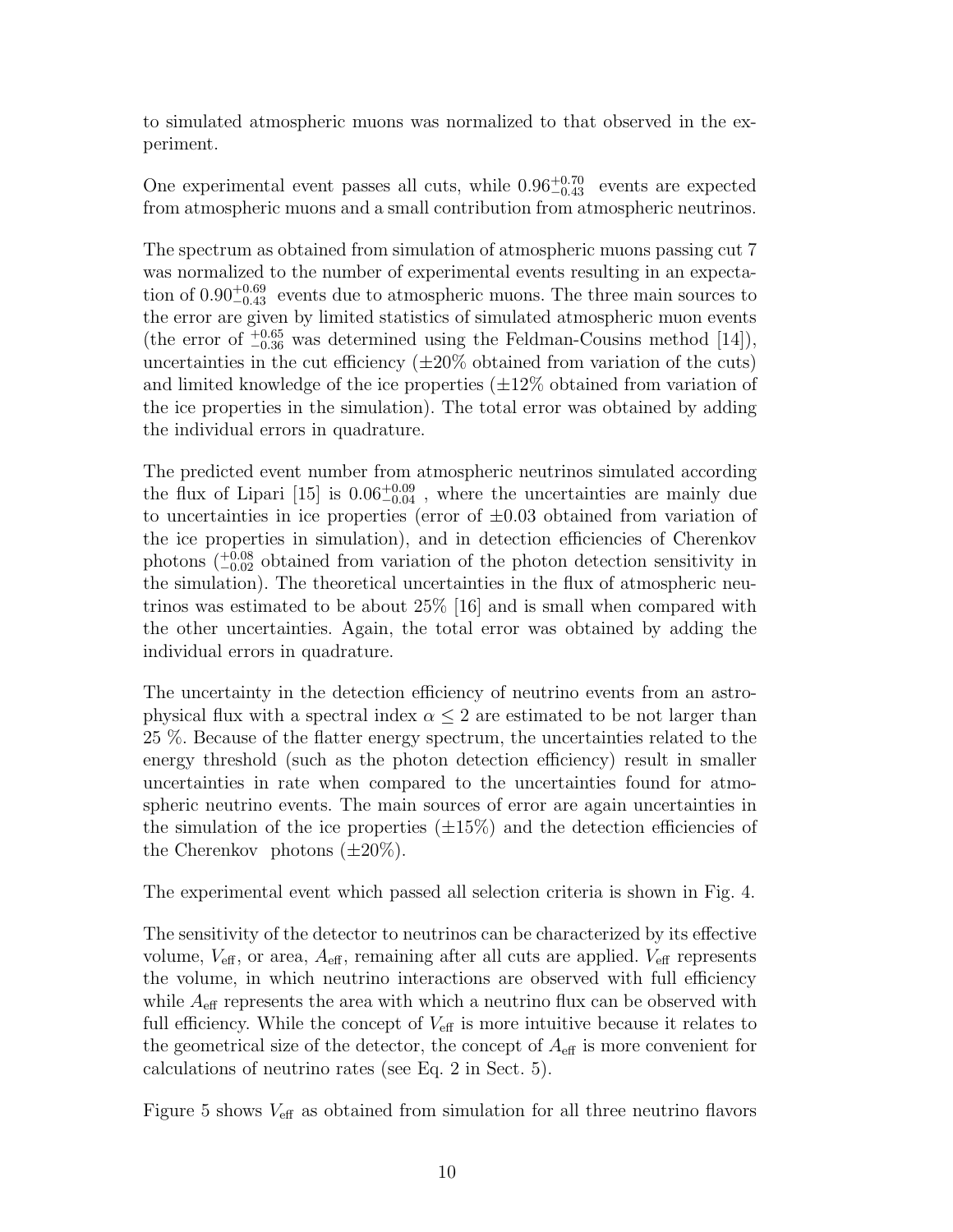to simulated atmospheric muons was normalized to that observed in the experiment.

One experimental event passes all cuts, while  $0.96_{-0.43}^{+0.70}$  events are expected from atmospheric muons and a small contribution from atmospheric neutrinos.

The spectrum as obtained from simulation of atmospheric muons passing cut 7 was normalized to the number of experimental events resulting in an expectation of  $0.90_{-0.43}^{+0.69}$  events due to atmospheric muons. The three main sources to the error are given by limited statistics of simulated atmospheric muon events (the error of  $^{+0.65}_{-0.36}$  was determined using the Feldman-Cousins method [14]), uncertainties in the cut efficiency  $(\pm 20\%$  obtained from variation of the cuts) and limited knowledge of the ice properties  $(\pm 12\%$  obtained from variation of the ice properties in the simulation). The total error was obtained by adding the individual errors in quadrature.

The predicted event number from atmospheric neutrinos simulated according the flux of Lipari [15] is  $0.06^{+0.09}_{-0.04}$ , where the uncertainties are mainly due to uncertainties in ice properties (error of  $\pm 0.03$  obtained from variation of the ice properties in simulation), and in detection efficiencies of Cherenkov photons  $\binom{+0.08}{-0.02}$  obtained from variation of the photon detection sensitivity in the simulation). The theoretical uncertainties in the flux of atmospheric neutrinos was estimated to be about 25% [16] and is small when compared with the other uncertainties. Again, the total error was obtained by adding the individual errors in quadrature.

The uncertainty in the detection efficiency of neutrino events from an astrophysical flux with a spectral index  $\alpha \leq 2$  are estimated to be not larger than 25 %. Because of the flatter energy spectrum, the uncertainties related to the energy threshold (such as the photon detection efficiency) result in smaller uncertainties in rate when compared to the uncertainties found for atmospheric neutrino events. The main sources of error are again uncertainties in the simulation of the ice properties  $(\pm 15\%)$  and the detection efficiencies of the Cherenkov photons  $(\pm 20\%)$ .

The experimental event which passed all selection criteria is shown in Fig. 4.

The sensitivity of the detector to neutrinos can be characterized by its effective volume,  $V_{\text{eff}}$ , or area,  $A_{\text{eff}}$ , remaining after all cuts are applied.  $V_{\text{eff}}$  represents the volume, in which neutrino interactions are observed with full efficiency while  $A_{\text{eff}}$  represents the area with which a neutrino flux can be observed with full efficiency. While the concept of  $V_{\text{eff}}$  is more intuitive because it relates to the geometrical size of the detector, the concept of  $A_{\text{eff}}$  is more convenient for calculations of neutrino rates (see Eq. 2 in Sect. 5).

Figure 5 shows  $V_{\text{eff}}$  as obtained from simulation for all three neutrino flavors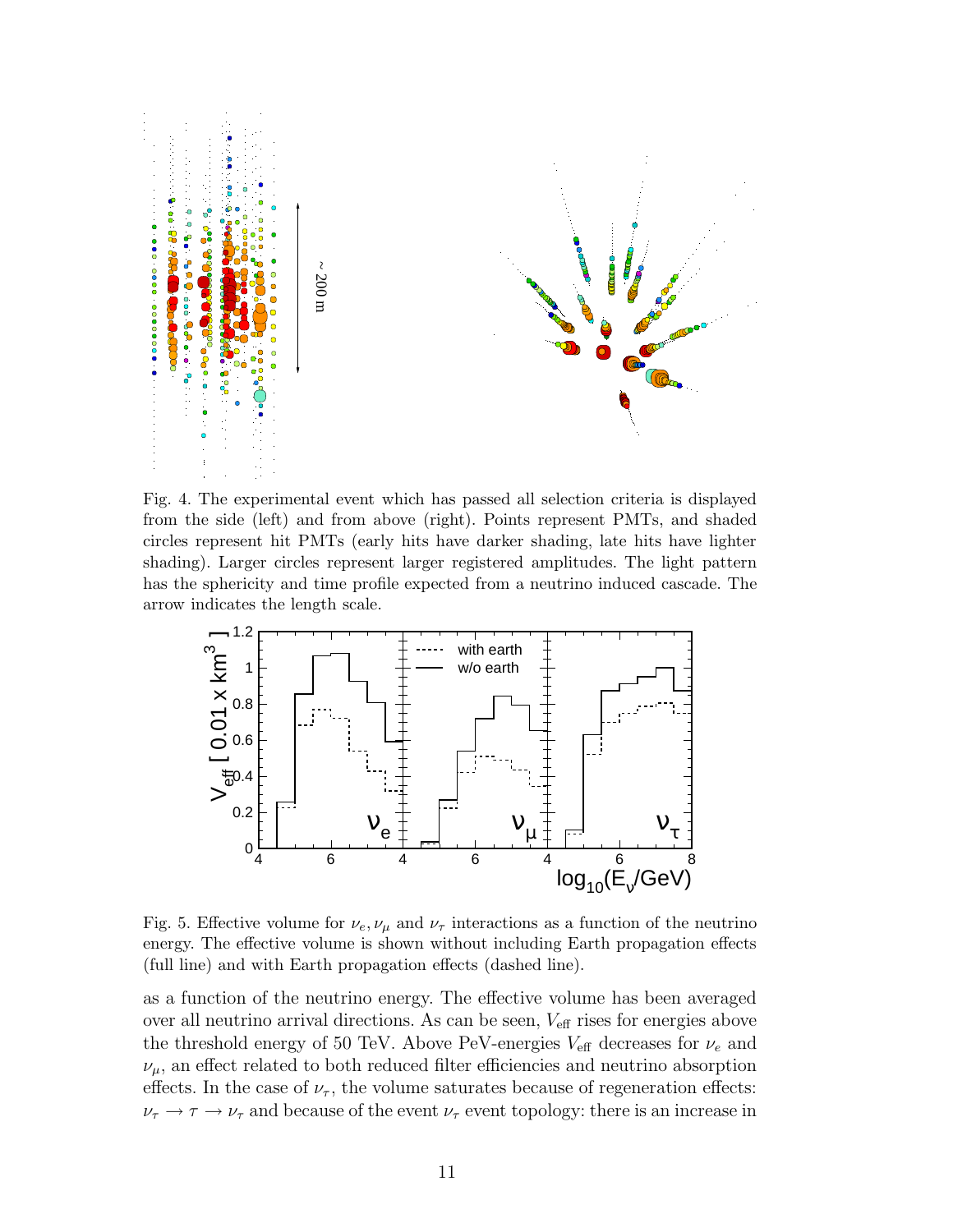

Fig. 4. The experimental event which has passed all selection criteria is displayed from the side (left) and from above (right). Points represent PMTs, and shaded circles represent hit PMTs (early hits have darker shading, late hits have lighter shading). Larger circles represent larger registered amplitudes. The light pattern has the sphericity and time profile expected from a neutrino induced cascade. The arrow indicates the length scale.



Fig. 5. Effective volume for  $\nu_e, \nu_\mu$  and  $\nu_\tau$  interactions as a function of the neutrino energy. The effective volume is shown without including Earth propagation effects (full line) and with Earth propagation effects (dashed line).

as a function of the neutrino energy. The effective volume has been averaged over all neutrino arrival directions. As can be seen,  $V_{\text{eff}}$  rises for energies above the threshold energy of 50 TeV. Above PeV-energies  $V_{\text{eff}}$  decreases for  $\nu_e$  and  $\nu_{\mu}$ , an effect related to both reduced filter efficiencies and neutrino absorption effects. In the case of  $\nu_{\tau}$ , the volume saturates because of regeneration effects:  $\nu_{\tau} \rightarrow \tau \rightarrow \nu_{\tau}$  and because of the event  $\nu_{\tau}$  event topology: there is an increase in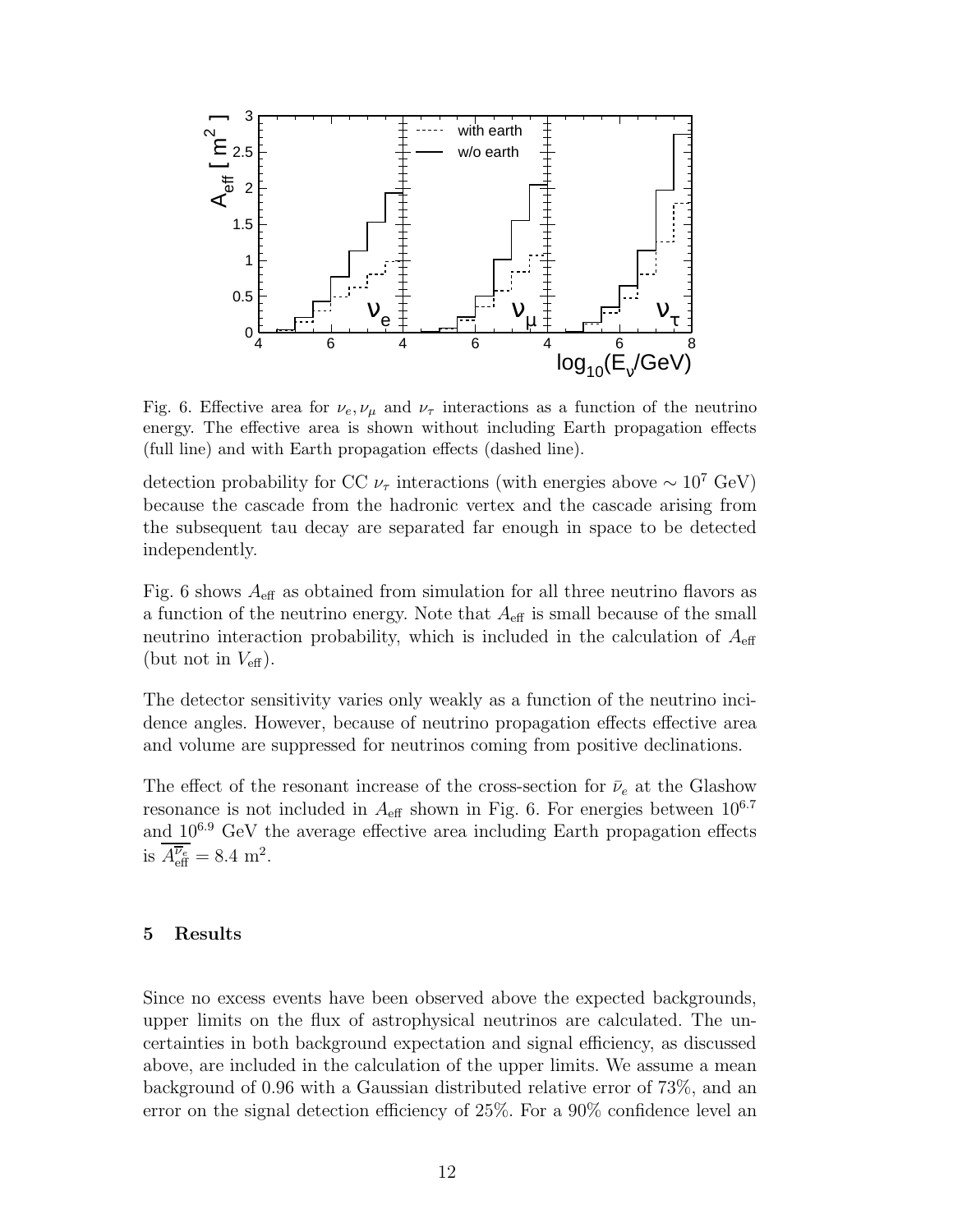

Fig. 6. Effective area for  $\nu_e, \nu_\mu$  and  $\nu_\tau$  interactions as a function of the neutrino energy. The effective area is shown without including Earth propagation effects (full line) and with Earth propagation effects (dashed line).

detection probability for CC  $\nu_{\tau}$  interactions (with energies above ~ 10<sup>7</sup> GeV) because the cascade from the hadronic vertex and the cascade arising from the subsequent tau decay are separated far enough in space to be detected independently.

Fig. 6 shows  $A_{\text{eff}}$  as obtained from simulation for all three neutrino flavors as a function of the neutrino energy. Note that  $A_{\text{eff}}$  is small because of the small neutrino interaction probability, which is included in the calculation of  $A_{\text{eff}}$ (but not in  $V_{\text{eff}}$ ).

The detector sensitivity varies only weakly as a function of the neutrino incidence angles. However, because of neutrino propagation effects effective area and volume are suppressed for neutrinos coming from positive declinations.

The effect of the resonant increase of the cross-section for  $\bar{\nu}_e$  at the Glashow resonance is not included in  $A_{\text{eff}}$  shown in Fig. 6. For energies between  $10^{6.7}$ and  $10^{6.9}$  GeV the average effective area including Earth propagation effects is  $A_{\text{eff}}^{\overline{\nu}_e} = 8.4 \text{ m}^2$ .

#### 5 Results

Since no excess events have been observed above the expected backgrounds, upper limits on the flux of astrophysical neutrinos are calculated. The uncertainties in both background expectation and signal efficiency, as discussed above, are included in the calculation of the upper limits. We assume a mean background of 0.96 with a Gaussian distributed relative error of 73%, and an error on the signal detection efficiency of 25%. For a 90% confidence level an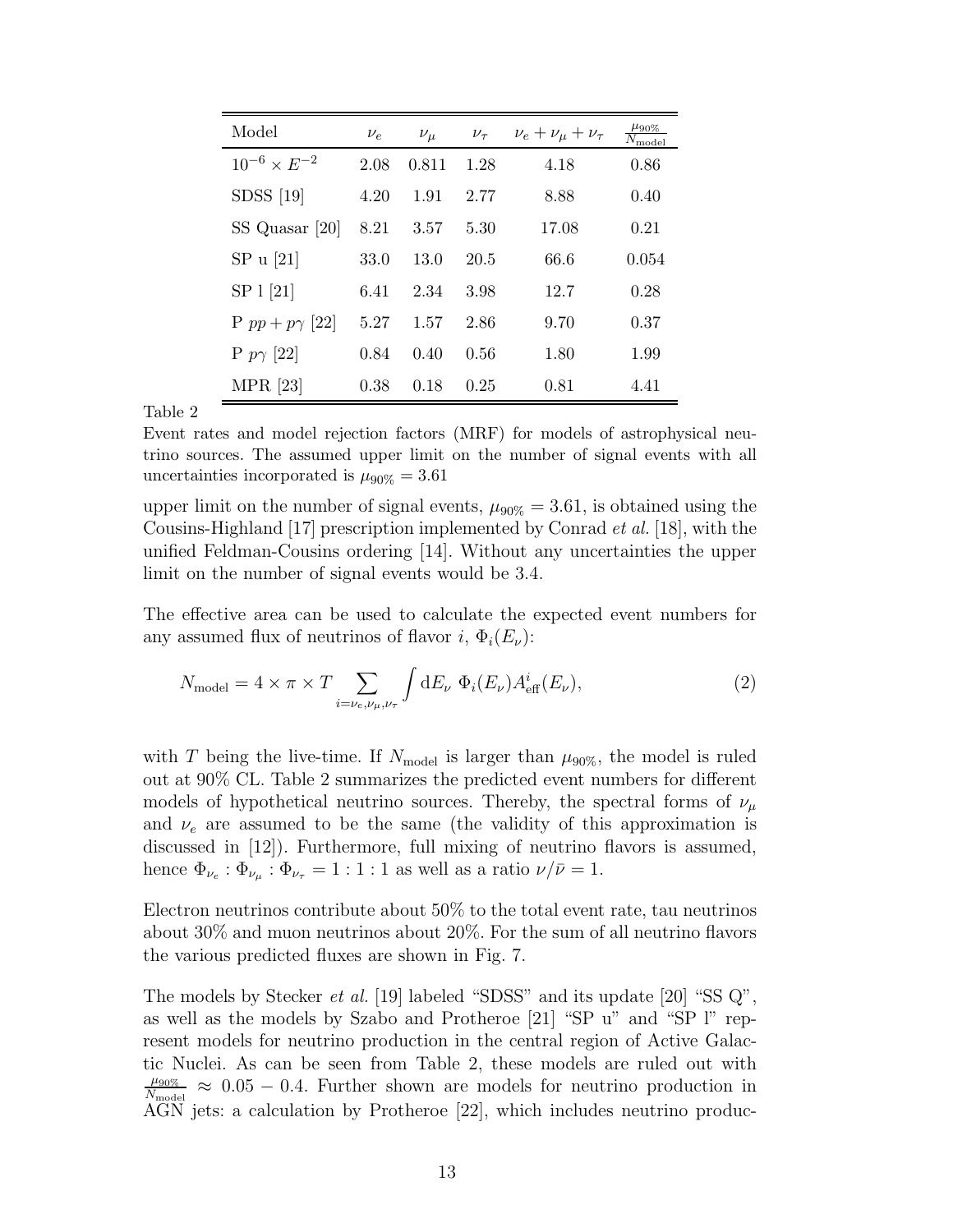| Model                   | $\nu_e$ | $\nu_\mu$ | $\nu_{\tau}$ | $\nu_e + \nu_\mu + \nu_\tau$ | $\mu_{90\%}$<br>$\overline{N}_{\text{model}}$ |
|-------------------------|---------|-----------|--------------|------------------------------|-----------------------------------------------|
| $10^{-6} \times E^{-2}$ | 2.08    | 0.811     | 1.28         | 4.18                         | 0.86                                          |
| $SDSS$ [19]             | 4.20    | 1.91      | 2.77         | 8.88                         | 0.40                                          |
| SS Quasar [20]          | 8.21    | 3.57      | 5.30         | 17.08                        | 0.21                                          |
| SP u [21]               | 33.0    | 13.0      | 20.5         | 66.6                         | 0.054                                         |
| SP 1 [21]               | 6.41    | 2.34      | 3.98         | 12.7                         | 0.28                                          |
| P $pp + p\gamma$ [22]   | 5.27    | 1.57      | 2.86         | 9.70                         | 0.37                                          |
| P $p\gamma$ [22]        | 0.84    | 0.40      | 0.56         | 1.80                         | 1.99                                          |
| $MPR$ [23]              | 0.38    | 0.18      | 0.25         | 0.81                         | 4.41                                          |

Table 2

Event rates and model rejection factors (MRF) for models of astrophysical neutrino sources. The assumed upper limit on the number of signal events with all uncertainties incorporated is  $\mu_{90\%} = 3.61$ 

upper limit on the number of signal events,  $\mu_{90\%} = 3.61$ , is obtained using the Cousins-Highland [17] prescription implemented by Conrad et al. [18], with the unified Feldman-Cousins ordering [14]. Without any uncertainties the upper limit on the number of signal events would be 3.4.

The effective area can be used to calculate the expected event numbers for any assumed flux of neutrinos of flavor i,  $\Phi_i(E_\nu)$ :

$$
N_{\text{model}} = 4 \times \pi \times T \sum_{i=\nu_e,\nu_\mu,\nu_\tau} \int \mathrm{d}E_\nu \ \Phi_i(E_\nu) A_{\text{eff}}^i(E_\nu), \tag{2}
$$

with T being the live-time. If  $N_{\text{model}}$  is larger than  $\mu_{90\%}$ , the model is ruled out at 90% CL. Table 2 summarizes the predicted event numbers for different models of hypothetical neutrino sources. Thereby, the spectral forms of  $\nu_{\mu}$ and  $\nu_e$  are assumed to be the same (the validity of this approximation is discussed in [12]). Furthermore, full mixing of neutrino flavors is assumed, hence  $\Phi_{\nu_e}$ :  $\Phi_{\nu_\mu}$ :  $\Phi_{\nu_\tau} = 1:1:1$  as well as a ratio  $\nu/\bar{\nu} = 1$ .

Electron neutrinos contribute about 50% to the total event rate, tau neutrinos about 30% and muon neutrinos about 20%. For the sum of all neutrino flavors the various predicted fluxes are shown in Fig. 7.

The models by Stecker *et al.* [19] labeled "SDSS" and its update [20] "SS Q", as well as the models by Szabo and Protheroe [21] "SP u" and "SP l" represent models for neutrino production in the central region of Active Galactic Nuclei. As can be seen from Table 2, these models are ruled out with  $\mu_{90\%}$  $\frac{\mu_{90\%}}{N_{\text{model}}} \approx 0.05 - 0.4$ . Further shown are models for neutrino production in AGN jets: a calculation by Protheroe [22], which includes neutrino produc-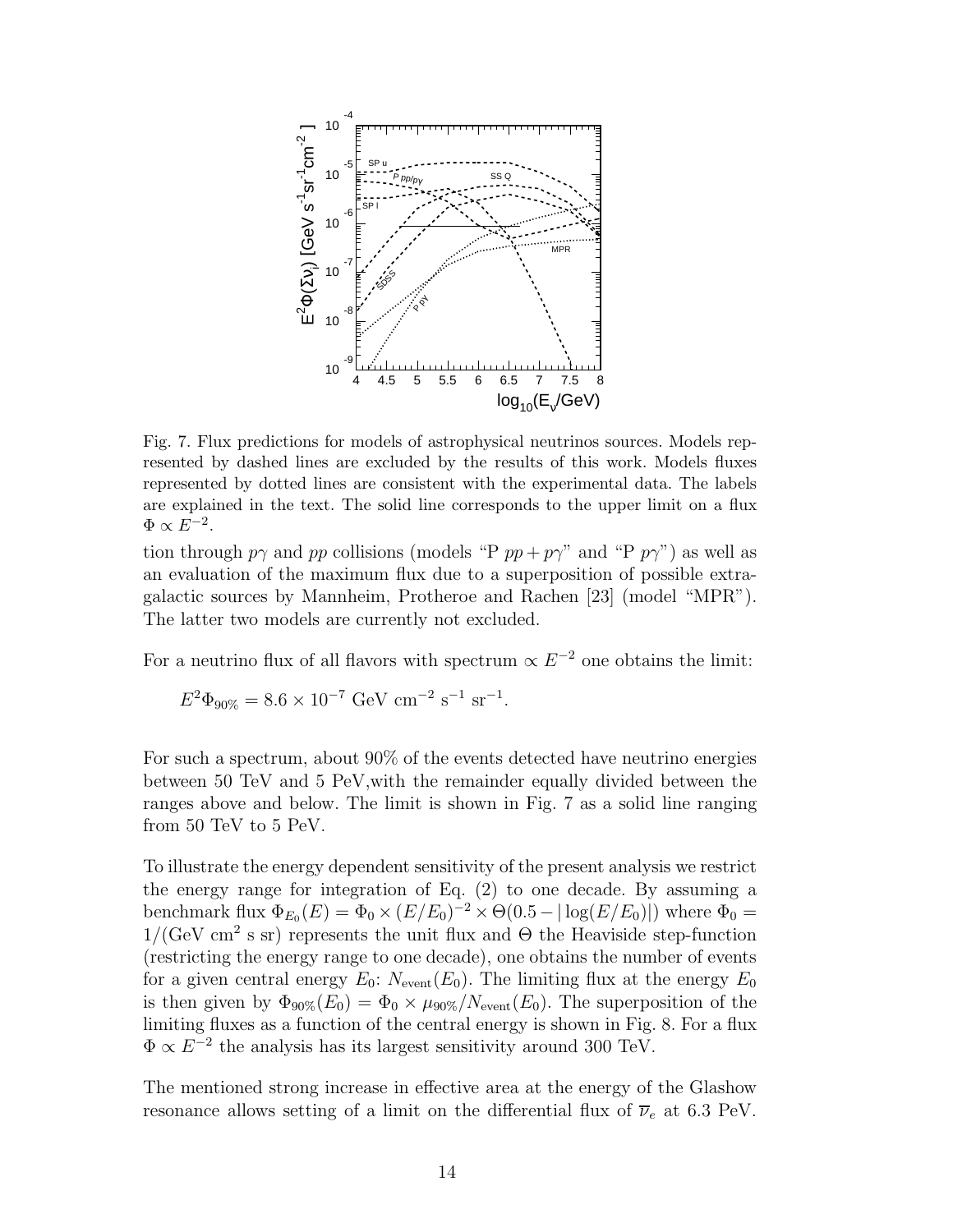

Fig. 7. Flux predictions for models of astrophysical neutrinos sources. Models represented by dashed lines are excluded by the results of this work. Models fluxes represented by dotted lines are consistent with the experimental data. The labels are explained in the text. The solid line corresponds to the upper limit on a flux  $\Phi \propto \tilde{E^{-2}}$ .

tion through  $p\gamma$  and pp collisions (models "P  $pp + p\gamma$ " and "P  $p\gamma$ ") as well as an evaluation of the maximum flux due to a superposition of possible extragalactic sources by Mannheim, Protheroe and Rachen [23] (model "MPR"). The latter two models are currently not excluded.

For a neutrino flux of all flavors with spectrum  $\propto E^{-2}$  one obtains the limit:

$$
E^2 \Phi_{90\%} = 8.6 \times 10^{-7} \text{ GeV cm}^{-2} \text{ s}^{-1} \text{ sr}^{-1}.
$$

For such a spectrum, about 90% of the events detected have neutrino energies between 50 TeV and 5 PeV,with the remainder equally divided between the ranges above and below. The limit is shown in Fig. 7 as a solid line ranging from 50 TeV to 5 PeV.

To illustrate the energy dependent sensitivity of the present analysis we restrict the energy range for integration of Eq. (2) to one decade. By assuming a benchmark flux  $\Phi_{E_0}(E) = \Phi_0 \times (E/E_0)^{-2} \times \Theta(0.5 - |\log(E/E_0)|)$  where  $\Phi_0 =$  $1/(\text{GeV cm}^2 \text{ s sr})$  represents the unit flux and  $\Theta$  the Heaviside step-function (restricting the energy range to one decade), one obtains the number of events for a given central energy  $E_0$ :  $N_{\text{event}}(E_0)$ . The limiting flux at the energy  $E_0$ is then given by  $\Phi_{90\%}(E_0) = \Phi_0 \times \mu_{90\%}/N_{\text{event}}(E_0)$ . The superposition of the limiting fluxes as a function of the central energy is shown in Fig. 8. For a flux  $\Phi \propto E^{-2}$  the analysis has its largest sensitivity around 300 TeV.

The mentioned strong increase in effective area at the energy of the Glashow resonance allows setting of a limit on the differential flux of  $\overline{\nu}_e$  at 6.3 PeV.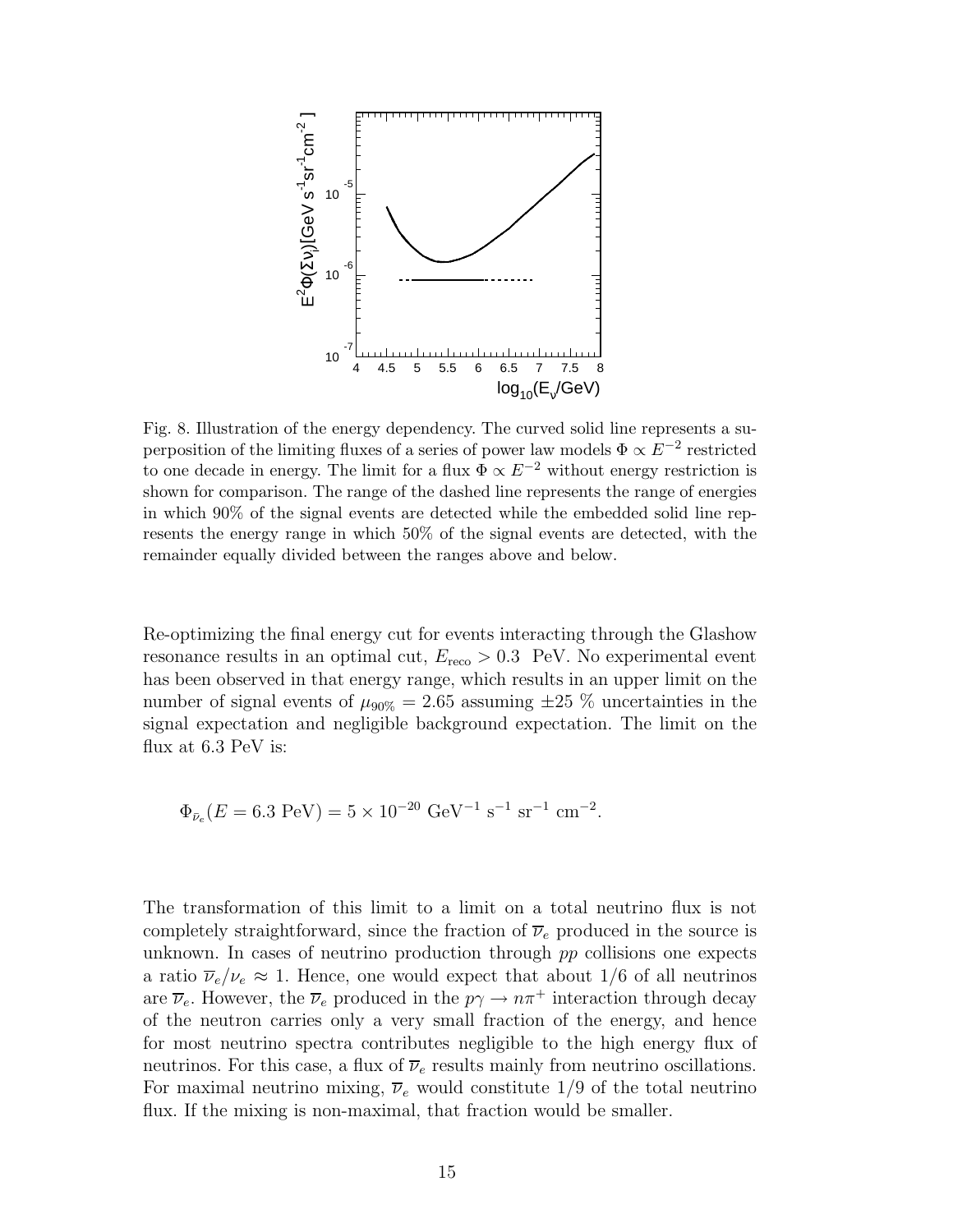

Fig. 8. Illustration of the energy dependency. The curved solid line represents a superposition of the limiting fluxes of a series of power law models  $\Phi \propto \tilde{E}^{-2}$  restricted to one decade in energy. The limit for a flux  $\Phi \propto E^{-2}$  without energy restriction is shown for comparison. The range of the dashed line represents the range of energies in which 90% of the signal events are detected while the embedded solid line represents the energy range in which 50% of the signal events are detected, with the remainder equally divided between the ranges above and below.

Re-optimizing the final energy cut for events interacting through the Glashow resonance results in an optimal cut,  $E_{\text{reco}} > 0.3$  PeV. No experimental event has been observed in that energy range, which results in an upper limit on the number of signal events of  $\mu_{90\%} = 2.65$  assuming  $\pm 25$  % uncertainties in the signal expectation and negligible background expectation. The limit on the flux at 6.3 PeV is:

$$
\Phi_{\bar{\nu}_e}(E = 6.3 \text{ PeV}) = 5 \times 10^{-20} \text{ GeV}^{-1} \text{ s}^{-1} \text{ sr}^{-1} \text{ cm}^{-2}.
$$

The transformation of this limit to a limit on a total neutrino flux is not completely straightforward, since the fraction of  $\overline{\nu}_e$  produced in the source is unknown. In cases of neutrino production through pp collisions one expects a ratio  $\overline{\nu}_e/\nu_e \approx 1$ . Hence, one would expect that about 1/6 of all neutrinos are  $\overline{\nu}_e$ . However, the  $\overline{\nu}_e$  produced in the  $p\gamma \to n\pi^+$  interaction through decay of the neutron carries only a very small fraction of the energy, and hence for most neutrino spectra contributes negligible to the high energy flux of neutrinos. For this case, a flux of  $\overline{\nu}_e$  results mainly from neutrino oscillations. For maximal neutrino mixing,  $\overline{\nu}_e$  would constitute 1/9 of the total neutrino flux. If the mixing is non-maximal, that fraction would be smaller.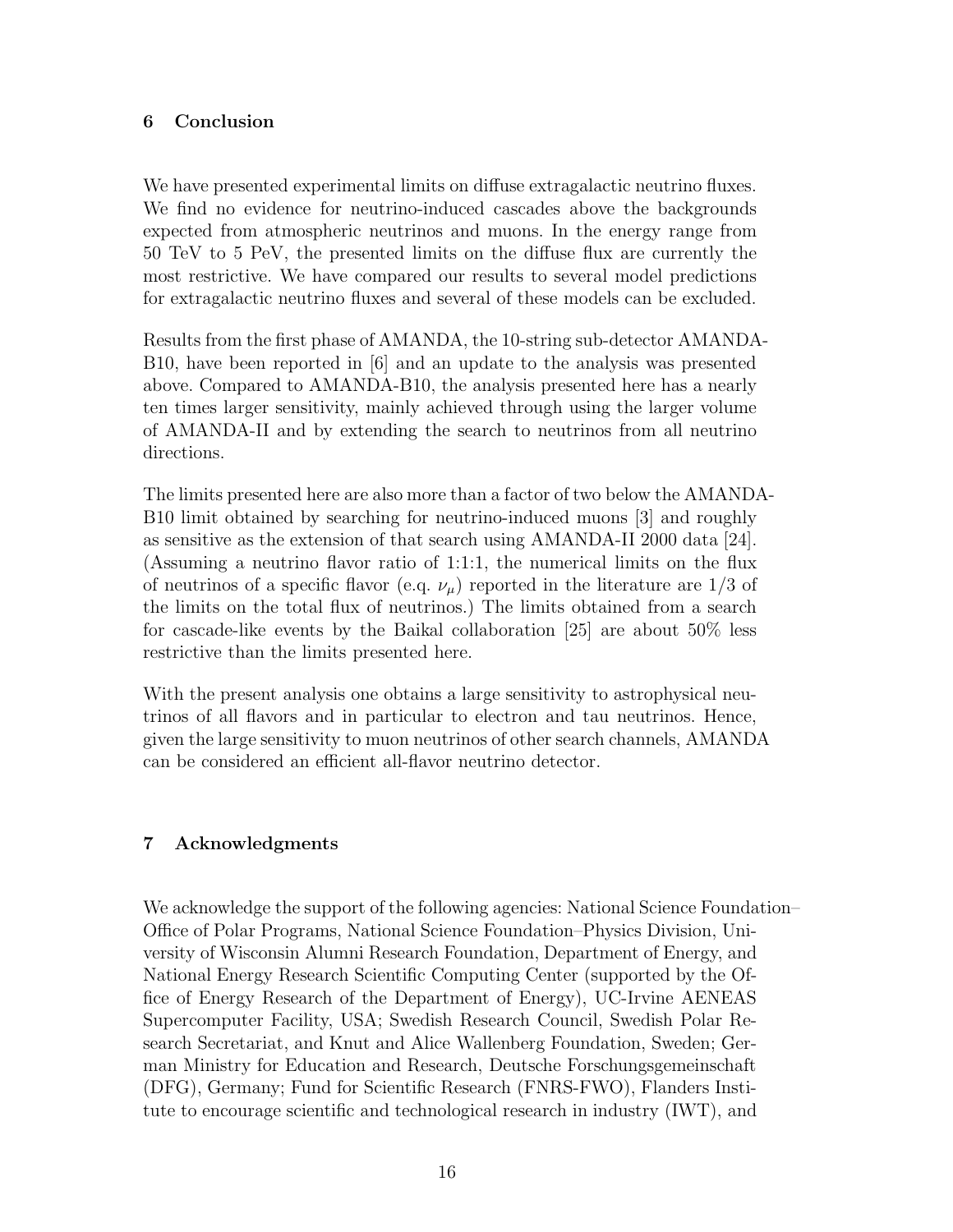## 6 Conclusion

We have presented experimental limits on diffuse extragalactic neutrino fluxes. We find no evidence for neutrino-induced cascades above the backgrounds expected from atmospheric neutrinos and muons. In the energy range from 50 TeV to 5 PeV, the presented limits on the diffuse flux are currently the most restrictive. We have compared our results to several model predictions for extragalactic neutrino fluxes and several of these models can be excluded.

Results from the first phase of AMANDA, the 10-string sub-detector AMANDA-B10, have been reported in [6] and an update to the analysis was presented above. Compared to AMANDA-B10, the analysis presented here has a nearly ten times larger sensitivity, mainly achieved through using the larger volume of AMANDA-II and by extending the search to neutrinos from all neutrino directions.

The limits presented here are also more than a factor of two below the AMANDA-B10 limit obtained by searching for neutrino-induced muons [3] and roughly as sensitive as the extension of that search using AMANDA-II 2000 data [24]. (Assuming a neutrino flavor ratio of 1:1:1, the numerical limits on the flux of neutrinos of a specific flavor (e.q.  $\nu_{\mu}$ ) reported in the literature are 1/3 of the limits on the total flux of neutrinos.) The limits obtained from a search for cascade-like events by the Baikal collaboration [25] are about 50% less restrictive than the limits presented here.

With the present analysis one obtains a large sensitivity to astrophysical neutrinos of all flavors and in particular to electron and tau neutrinos. Hence, given the large sensitivity to muon neutrinos of other search channels, AMANDA can be considered an efficient all-flavor neutrino detector.

## 7 Acknowledgments

We acknowledge the support of the following agencies: National Science Foundation– Office of Polar Programs, National Science Foundation–Physics Division, University of Wisconsin Alumni Research Foundation, Department of Energy, and National Energy Research Scientific Computing Center (supported by the Office of Energy Research of the Department of Energy), UC-Irvine AENEAS Supercomputer Facility, USA; Swedish Research Council, Swedish Polar Research Secretariat, and Knut and Alice Wallenberg Foundation, Sweden; German Ministry for Education and Research, Deutsche Forschungsgemeinschaft (DFG), Germany; Fund for Scientific Research (FNRS-FWO), Flanders Institute to encourage scientific and technological research in industry (IWT), and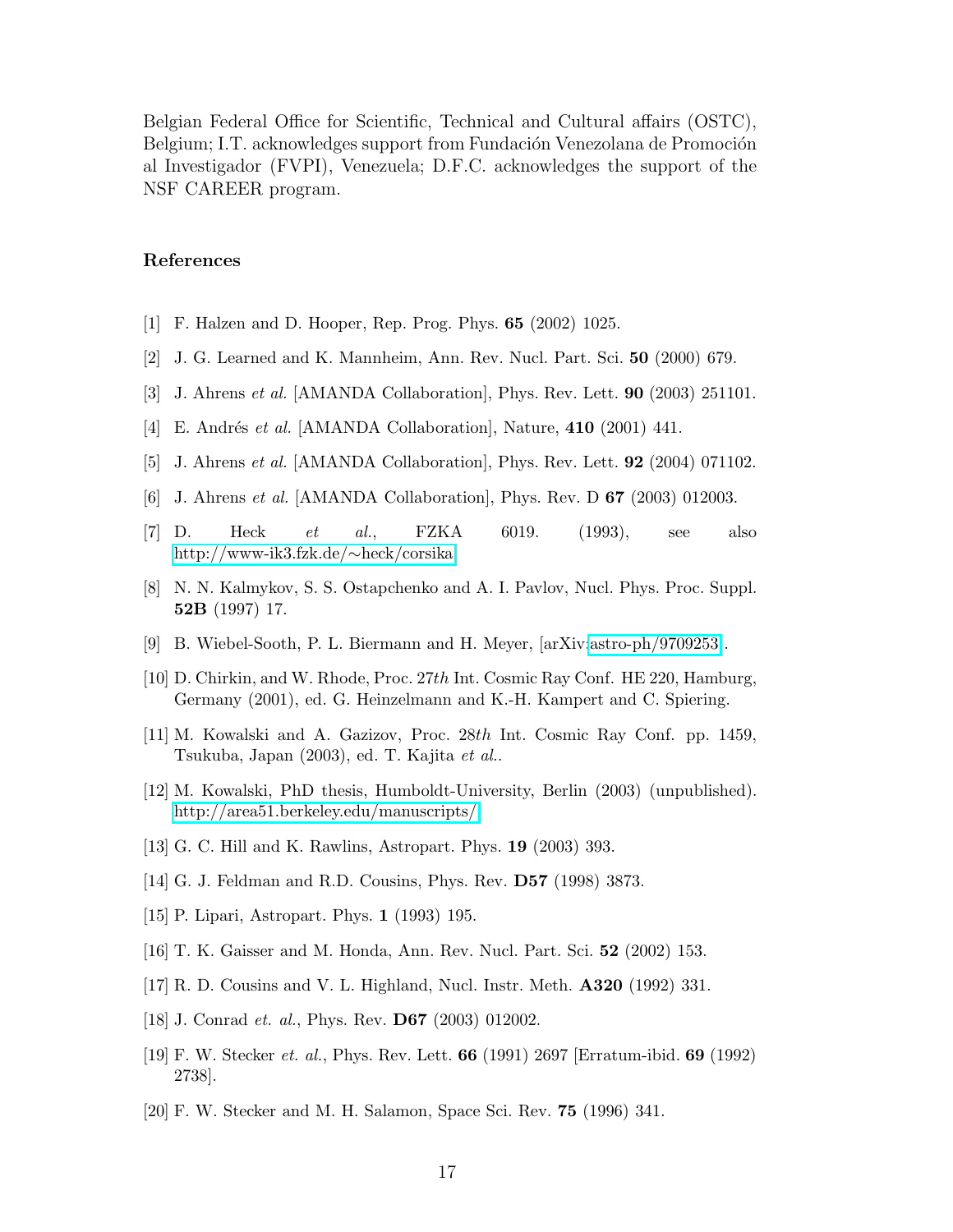Belgian Federal Office for Scientific, Technical and Cultural affairs (OSTC), Belgium; I.T. acknowledges support from Fundación Venezolana de Promoción al Investigador (FVPI), Venezuela; D.F.C. acknowledges the support of the NSF CAREER program.

#### References

- [1] F. Halzen and D. Hooper, Rep. Prog. Phys. 65 (2002) 1025.
- [2] J. G. Learned and K. Mannheim, Ann. Rev. Nucl. Part. Sci. 50 (2000) 679.
- [3] J. Ahrens et al. [AMANDA Collaboration], Phys. Rev. Lett. 90 (2003) 251101.
- [4] E. Andrés et al. [AMANDA Collaboration], Nature,  $410$  (2001) 441.
- [5] J. Ahrens et al. [AMANDA Collaboration], Phys. Rev. Lett. 92 (2004) 071102.
- [6] J. Ahrens *et al.* [AMANDA Collaboration], Phys. Rev. D **67** (2003) 012003.
- [7] D. Heck *et al.*, FZKA 6019. (1993), see also [http://www-ik3.fzk.de/](http://www-ik3.fzk.de/~heck/corsika)∼heck/corsika.
- [8] N. N. Kalmykov, S. S. Ostapchenko and A. I. Pavlov, Nucl. Phys. Proc. Suppl. 52B (1997) 17.
- [9] B. Wiebel-Sooth, P. L. Biermann and H. Meyer, [arXiv[:astro-ph/9709253\]](http://lanl.arXiv.org/abs/astro-ph/9709253).
- [10] D. Chirkin, and W. Rhode, Proc. 27th Int. Cosmic Ray Conf. HE 220, Hamburg, Germany (2001), ed. G. Heinzelmann and K.-H. Kampert and C. Spiering.
- [11] M. Kowalski and A. Gazizov, Proc. 28th Int. Cosmic Ray Conf. pp. 1459, Tsukuba, Japan (2003), ed. T. Kajita et al..
- [12] M. Kowalski, PhD thesis, Humboldt-University, Berlin (2003) (unpublished). [http://area51.berkeley.edu/manuscripts/.](http://area51.berkeley.edu/manuscripts/)
- [13] G. C. Hill and K. Rawlins, Astropart. Phys. 19 (2003) 393.
- [14] G. J. Feldman and R.D. Cousins, Phys. Rev. D57 (1998) 3873.
- [15] P. Lipari, Astropart. Phys. 1 (1993) 195.
- [16] T. K. Gaisser and M. Honda, Ann. Rev. Nucl. Part. Sci. 52 (2002) 153.
- [17] R. D. Cousins and V. L. Highland, Nucl. Instr. Meth. A320 (1992) 331.
- [18] J. Conrad *et. al.*, Phys. Rev. **D67** (2003) 012002.
- [19] F. W. Stecker et. al., Phys. Rev. Lett. 66 (1991) 2697 [Erratum-ibid. 69 (1992) 2738].
- [20] F. W. Stecker and M. H. Salamon, Space Sci. Rev. 75 (1996) 341.